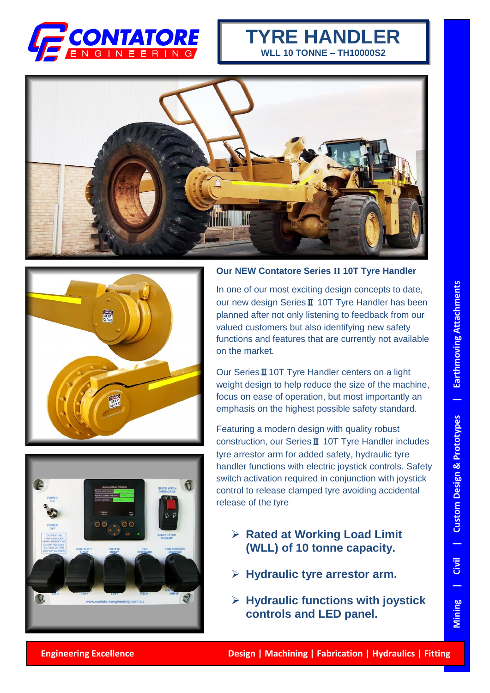

## **TYRE HANDLER WLL 10 TONNE – TH10000S2**







## **Our NEW Contatore Series Ⅱ 10T Tyre Handler**

In one of our most exciting design concepts to date, our new design SeriesⅡ 10T Tyre Handler has been planned after not only listening to feedback from our valued customers but also identifying new safety functions and features that are currently not available on the market.

Our SeriesⅡ10T Tyre Handler centers on a light weight design to help reduce the size of the machine, focus on ease of operation, but most importantly an emphasis on the highest possible safety standard.

Featuring a modern design with quality robust construction, our SeriesⅡ 10T Tyre Handler includes tyre arrestor arm for added safety, hydraulic tyre handler functions with electric joystick controls. Safety switch activation required in conjunction with joystick control to release clamped tyre avoiding accidental release of the tyre.

- ➢ **Rated at Working Load Limit (WLL) of 10 tonne capacity.**
- ➢ **Hydraulic tyre arrestor arm.**
- ➢ **Hydraulic functions with joystick controls and LED panel.**